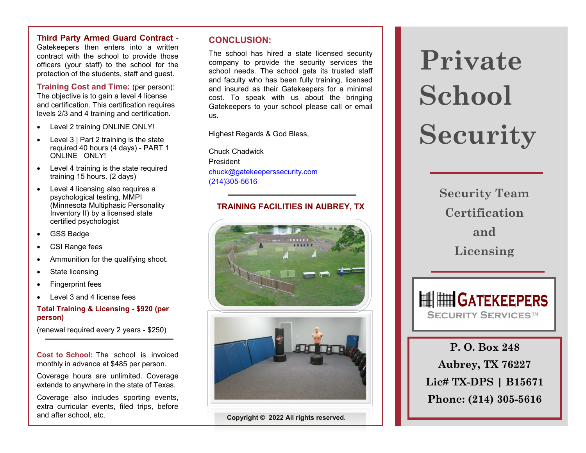**Third Party Armed Guard Contract** -

Gatekeepers then enters into a written contract with the school to provide those officers (your staff) to the school for the protection of the students, staff and guest.

**Training Cost and Time:** (per person): The objective is to gain a level 4 license and certification. This certification requires levels 2/3 and 4 training and certification.

- Level 2 training ONLINE ONLY!
- Level 3 | Part 2 training is the state required 40 hours (4 days) - PART 1 ONLINE ONLY!
- Level 4 training is the state required training 15 hours. (2 days)
- Level 4 licensing also requires a psychological testing, MMPI (Minnesota Multiphasic Personality Inventory II) by a licensed state certified psychologist
- GSS Badge
- CSI Range fees
- Ammunition for the qualifying shoot.
- State licensing
- Fingerprint fees
- Level 3 and 4 license fees

#### **Total Training & Licensing - \$920 (per person)**

(renewal required every 2 years - \$250)

**Cost to School:** The school is invoiced monthly in advance at \$485 per person.

Coverage hours are unlimited. Coverage extends to anywhere in the state of Texas.

Coverage also includes sporting events, extra curricular events, filed trips, before and after school, etc.

#### **CONCLUSION:**

The school has hired a state licensed security company to provide the security services the school needs. The school gets its trusted staff and faculty who has been fully training, licensed and insured as their Gatekeepers for a minimal cost. To speak with us about the bringing Gatekeepers to your school please call or email us.

Highest Regards & God Bless,

Chuck Chadwick President chuck@gatekeeperssecurity.com (214)305-5616

#### **TRAINING FACILITIES IN AUBREY, TX**



**Copyright © 2022 All rights reserved.**

# **Private School Security**

**Security Team Certification and Licensing** 



**P. O. Box 248 Aubrey, TX 76227 Lic# TX-DPS | B15671 Phone: (214) 305-5616**